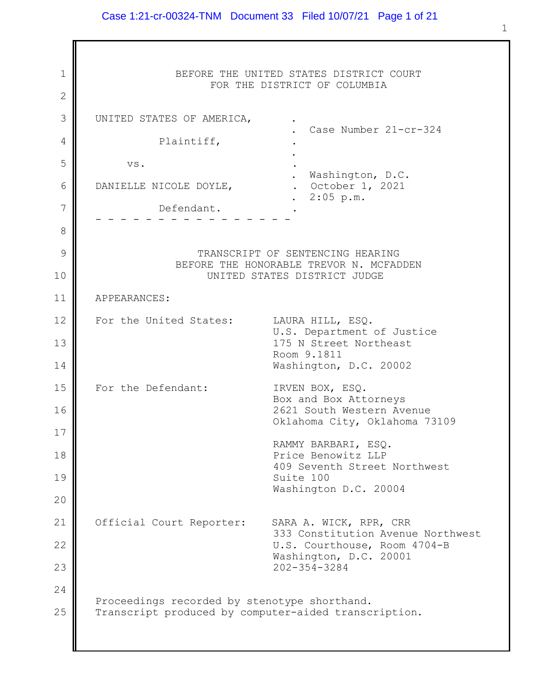### Case 1:21-cr-00324-TNM Document 33 Filed 10/07/21 Page 1 of 21

1 2 3 4 5 6 7 8 9 10 11 12 13 14 15 16 17 18 19 20 21 22 23 24 25 BEFORE THE UNITED STATES DISTRICT COURT FOR THE DISTRICT OF COLUMBIA UNITED STATES OF AMERICA, . . Case Number 21-cr-324 Plaintiff, . . vs.  $\cdot$ . Washington, D.C.<br>Cotober 1, 2021. DANIELLE NICOLE DOYLE, . 2:05 p.m. Defendant. - - - - - - - - - - - - - - - - TRANSCRIPT OF SENTENCING HEARING BEFORE THE HONORABLE TREVOR N. MCFADDEN UNITED STATES DISTRICT JUDGE APPEARANCES: For the United States: LAURA HILL, ESQ. U.S. Department of Justice 175 N Street Northeast Room 9.1811 Washington, D.C. 20002 For the Defendant: IRVEN BOX, ESQ. Box and Box Attorneys 2621 South Western Avenue Oklahoma City, Oklahoma 73109 RAMMY BARBARI, ESQ. Price Benowitz LLP 409 Seventh Street Northwest Suite 100 Washington D.C. 20004 Official Court Reporter: SARA A. WICK, RPR, CRR 333 Constitution Avenue Northwest U.S. Courthouse, Room 4704-B Washington, D.C. 20001 202-354-3284 Proceedings recorded by stenotype shorthand. Transcript produced by computer-aided transcription.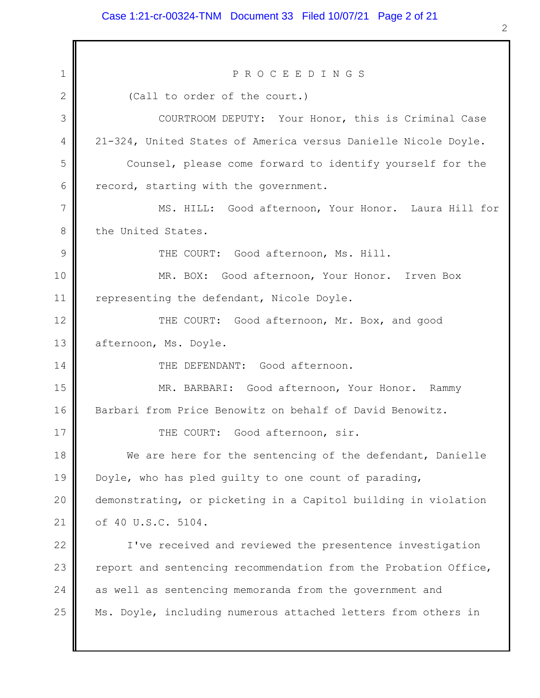#### Case 1:21-cr-00324-TNM Document 33 Filed 10/07/21 Page 2 of 21

1 2 3 4 5 6 7 8 9 10 11 12 13 14 15 16 17 18 19 20 21 22 23 24 25 P R O C E E D I N G S (Call to order of the court.) COURTROOM DEPUTY: Your Honor, this is Criminal Case 21-324, United States of America versus Danielle Nicole Doyle. Counsel, please come forward to identify yourself for the record, starting with the government. MS. HILL: Good afternoon, Your Honor. Laura Hill for the United States. THE COURT: Good afternoon, Ms. Hill. MR. BOX: Good afternoon, Your Honor. Irven Box representing the defendant, Nicole Doyle. THE COURT: Good afternoon, Mr. Box, and good afternoon, Ms. Doyle. THE DEFENDANT: Good afternoon. MR. BARBARI: Good afternoon, Your Honor. Rammy Barbari from Price Benowitz on behalf of David Benowitz. THE COURT: Good afternoon, sir. We are here for the sentencing of the defendant, Danielle Doyle, who has pled guilty to one count of parading, demonstrating, or picketing in a Capitol building in violation of 40 U.S.C. 5104. I've received and reviewed the presentence investigation report and sentencing recommendation from the Probation Office, as well as sentencing memoranda from the government and Ms. Doyle, including numerous attached letters from others in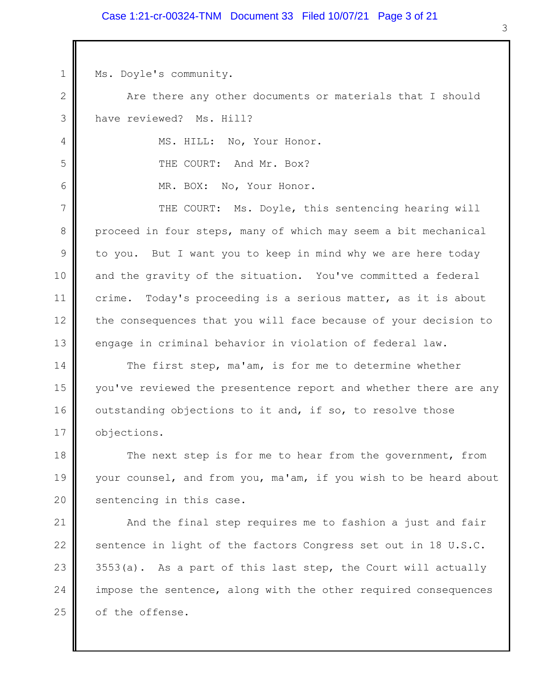### Case 1:21-cr-00324-TNM Document 33 Filed 10/07/21 Page 3 of 21

Ms. Doyle's community.

1

4

5

6

2 3 Are there any other documents or materials that I should have reviewed? Ms. Hill?

MS. HILL: No, Your Honor. THE COURT: And Mr. Box?

MR. BOX: No, Your Honor.

7 8 9 10 11 12 13 THE COURT: Ms. Doyle, this sentencing hearing will proceed in four steps, many of which may seem a bit mechanical to you. But I want you to keep in mind why we are here today and the gravity of the situation. You've committed a federal crime. Today's proceeding is a serious matter, as it is about the consequences that you will face because of your decision to engage in criminal behavior in violation of federal law.

14 15 16 17 The first step, ma'am, is for me to determine whether you've reviewed the presentence report and whether there are any outstanding objections to it and, if so, to resolve those objections.

18 19 20 The next step is for me to hear from the government, from your counsel, and from you, ma'am, if you wish to be heard about sentencing in this case.

21 22 23 24 25 And the final step requires me to fashion a just and fair sentence in light of the factors Congress set out in 18 U.S.C.  $3553(a)$ . As a part of this last step, the Court will actually impose the sentence, along with the other required consequences of the offense.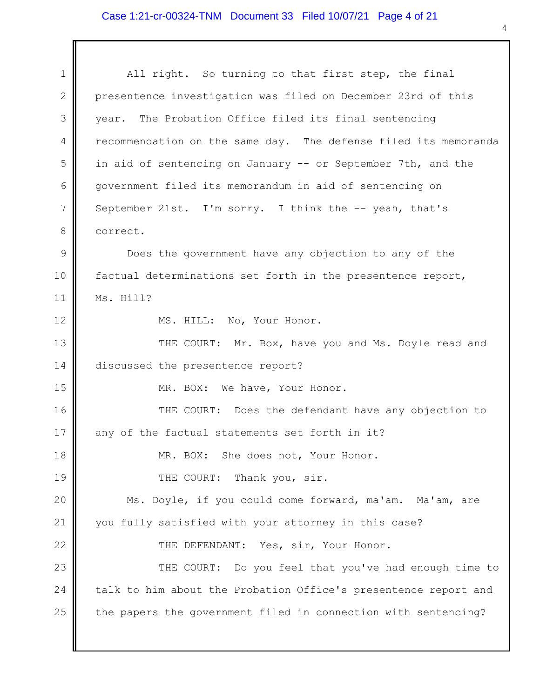# Case 1:21-cr-00324-TNM Document 33 Filed 10/07/21 Page 4 of 21

| $\mathbf 1$     | All right. So turning to that first step, the final             |  |
|-----------------|-----------------------------------------------------------------|--|
| $\mathbf{2}$    | presentence investigation was filed on December 23rd of this    |  |
| 3               | year. The Probation Office filed its final sentencing           |  |
| 4               | recommendation on the same day. The defense filed its memoranda |  |
| 5               | in aid of sentencing on January -- or September 7th, and the    |  |
| 6               | government filed its memorandum in aid of sentencing on         |  |
| $7\phantom{.0}$ | September 21st. I'm sorry. I think the -- yeah, that's          |  |
| 8               | correct.                                                        |  |
| $\mathcal{G}$   | Does the government have any objection to any of the            |  |
| 10              | factual determinations set forth in the presentence report,     |  |
| 11              | Ms. Hill?                                                       |  |
| 12              | MS. HILL: No, Your Honor.                                       |  |
| 13              | THE COURT: Mr. Box, have you and Ms. Doyle read and             |  |
| 14              | discussed the presentence report?                               |  |
| 15              | MR. BOX: We have, Your Honor.                                   |  |
| 16              | THE COURT: Does the defendant have any objection to             |  |
| $17$            | any of the factual statements set forth in it?                  |  |
| 18              | MR. BOX: She does not, Your Honor.                              |  |
| 19              | THE COURT:<br>Thank you, sir.                                   |  |
| 20              | Ms. Doyle, if you could come forward, ma'am. Ma'am, are         |  |
| 21              | you fully satisfied with your attorney in this case?            |  |
| 22              | THE DEFENDANT: Yes, sir, Your Honor.                            |  |
| 23              | THE COURT: Do you feel that you've had enough time to           |  |
| 24              | talk to him about the Probation Office's presentence report and |  |
| 25              | the papers the government filed in connection with sentencing?  |  |
|                 |                                                                 |  |
|                 |                                                                 |  |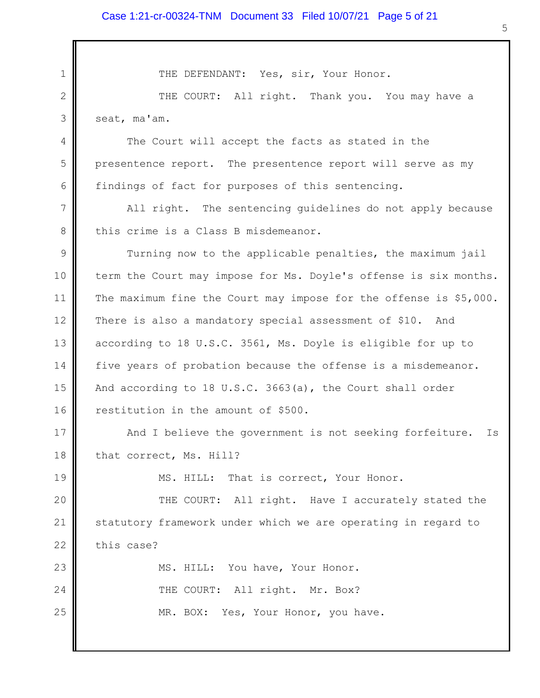THE DEFENDANT: Yes, sir, Your Honor.

1

4

5

6

19

23

24

25

2 3 THE COURT: All right. Thank you. You may have a seat, ma'am.

The Court will accept the facts as stated in the presentence report. The presentence report will serve as my findings of fact for purposes of this sentencing.

7 8 All right. The sentencing guidelines do not apply because this crime is a Class B misdemeanor.

9 10 11 12 13 14 15 16 Turning now to the applicable penalties, the maximum jail term the Court may impose for Ms. Doyle's offense is six months. The maximum fine the Court may impose for the offense is \$5,000. There is also a mandatory special assessment of \$10. And according to 18 U.S.C. 3561, Ms. Doyle is eligible for up to five years of probation because the offense is a misdemeanor. And according to 18 U.S.C. 3663(a), the Court shall order restitution in the amount of \$500.

17 18 And I believe the government is not seeking forfeiture. Is that correct, Ms. Hill?

MS. HILL: That is correct, Your Honor.

20 21 22 THE COURT: All right. Have I accurately stated the statutory framework under which we are operating in regard to this case?

MS. HILL: You have, Your Honor. THE COURT: All right. Mr. Box? MR. BOX: Yes, Your Honor, you have.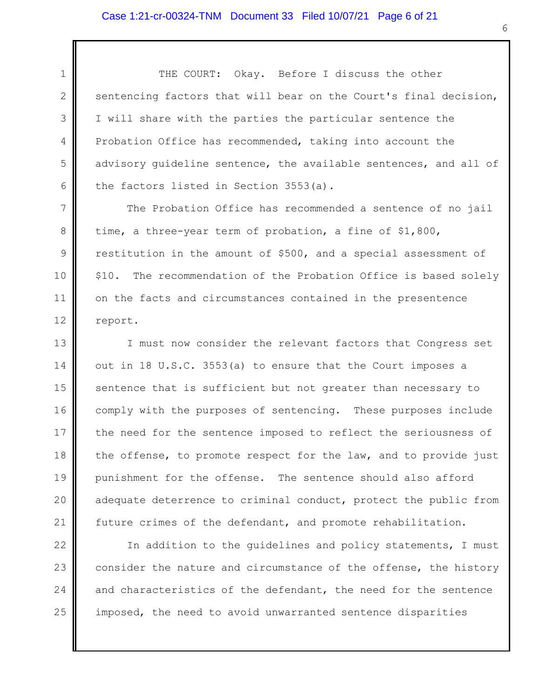2

4

8

3 5 6 THE COURT: Okay. Before I discuss the other sentencing factors that will bear on the Court's final decision, I will share with the parties the particular sentence the Probation Office has recommended, taking into account the advisory guideline sentence, the available sentences, and all of the factors listed in Section 3553(a).

7 9 10 11 12 The Probation Office has recommended a sentence of no jail time, a three-year term of probation, a fine of \$1,800, restitution in the amount of \$500, and a special assessment of \$10. The recommendation of the Probation Office is based solely on the facts and circumstances contained in the presentence report.

13 14 15 16 17 18 19 20 21 I must now consider the relevant factors that Congress set out in 18 U.S.C. 3553(a) to ensure that the Court imposes a sentence that is sufficient but not greater than necessary to comply with the purposes of sentencing. These purposes include the need for the sentence imposed to reflect the seriousness of the offense, to promote respect for the law, and to provide just punishment for the offense. The sentence should also afford adequate deterrence to criminal conduct, protect the public from future crimes of the defendant, and promote rehabilitation.

22 23 24 25 In addition to the guidelines and policy statements, I must consider the nature and circumstance of the offense, the history and characteristics of the defendant, the need for the sentence imposed, the need to avoid unwarranted sentence disparities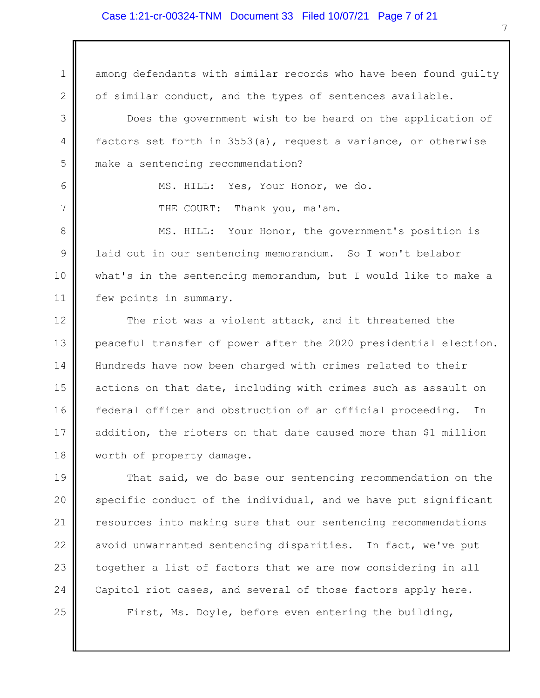### Case 1:21-cr-00324-TNM Document 33 Filed 10/07/21 Page 7 of 21

1 2 3 4 5 6 7 8 9 10 11 12 13 14 15 16 17 18 19 20 21 22 23 24 25 among defendants with similar records who have been found guilty of similar conduct, and the types of sentences available. Does the government wish to be heard on the application of factors set forth in 3553(a), request a variance, or otherwise make a sentencing recommendation? MS. HILL: Yes, Your Honor, we do. THE COURT: Thank you, ma'am. MS. HILL: Your Honor, the government's position is laid out in our sentencing memorandum. So I won't belabor what's in the sentencing memorandum, but I would like to make a few points in summary. The riot was a violent attack, and it threatened the peaceful transfer of power after the 2020 presidential election. Hundreds have now been charged with crimes related to their actions on that date, including with crimes such as assault on federal officer and obstruction of an official proceeding. In addition, the rioters on that date caused more than \$1 million worth of property damage. That said, we do base our sentencing recommendation on the specific conduct of the individual, and we have put significant resources into making sure that our sentencing recommendations avoid unwarranted sentencing disparities. In fact, we've put together a list of factors that we are now considering in all Capitol riot cases, and several of those factors apply here. First, Ms. Doyle, before even entering the building,

7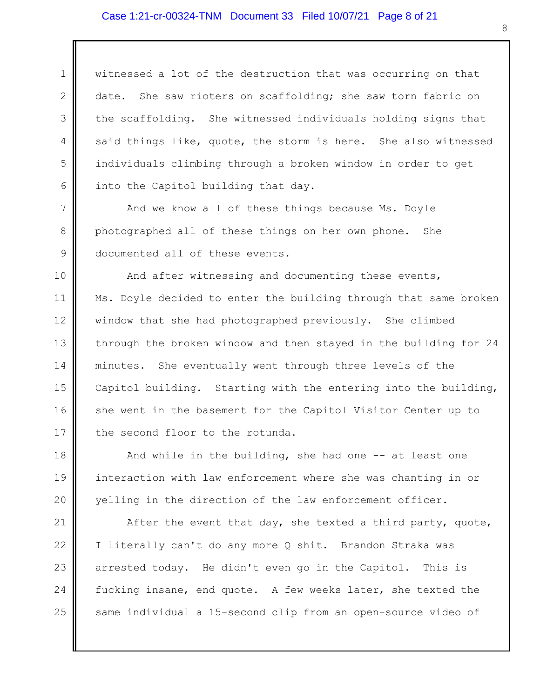## Case 1:21-cr-00324-TNM Document 33 Filed 10/07/21 Page 8 of 21

1 2 3 4 5 6 witnessed a lot of the destruction that was occurring on that date. She saw rioters on scaffolding; she saw torn fabric on the scaffolding. She witnessed individuals holding signs that said things like, quote, the storm is here. She also witnessed individuals climbing through a broken window in order to get into the Capitol building that day.

7 8 9 And we know all of these things because Ms. Doyle photographed all of these things on her own phone. She documented all of these events.

10 11 12 13 14 15 16 17 And after witnessing and documenting these events, Ms. Doyle decided to enter the building through that same broken window that she had photographed previously. She climbed through the broken window and then stayed in the building for 24 minutes. She eventually went through three levels of the Capitol building. Starting with the entering into the building, she went in the basement for the Capitol Visitor Center up to the second floor to the rotunda.

18 19 20 And while in the building, she had one  $-$  at least one interaction with law enforcement where she was chanting in or yelling in the direction of the law enforcement officer.

21 22 23 24 25 After the event that day, she texted a third party, quote, I literally can't do any more Q shit. Brandon Straka was arrested today. He didn't even go in the Capitol. This is fucking insane, end quote. A few weeks later, she texted the same individual a 15-second clip from an open-source video of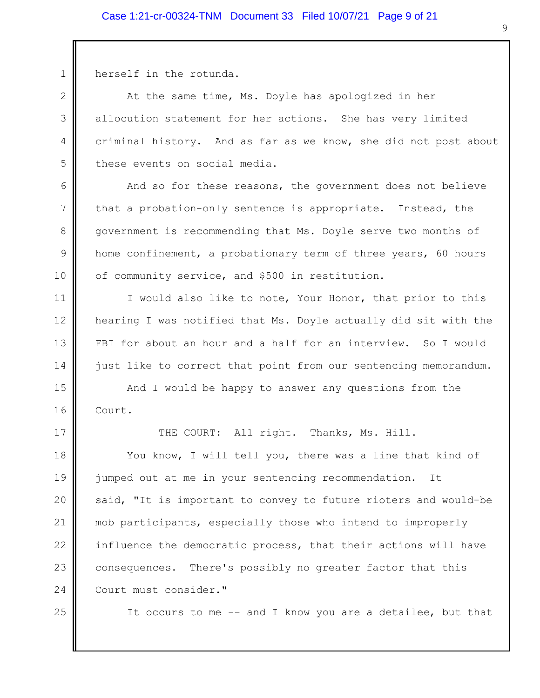## Case 1:21-cr-00324-TNM Document 33 Filed 10/07/21 Page 9 of 21

herself in the rotunda.

1

2

3

4

5

6

7

8

9

10

11

17

At the same time, Ms. Doyle has apologized in her allocution statement for her actions. She has very limited criminal history. And as far as we know, she did not post about these events on social media.

And so for these reasons, the government does not believe that a probation-only sentence is appropriate. Instead, the government is recommending that Ms. Doyle serve two months of home confinement, a probationary term of three years, 60 hours of community service, and \$500 in restitution.

12 13 14 I would also like to note, Your Honor, that prior to this hearing I was notified that Ms. Doyle actually did sit with the FBI for about an hour and a half for an interview. So I would just like to correct that point from our sentencing memorandum.

15 16 And I would be happy to answer any questions from the Court.

THE COURT: All right. Thanks, Ms. Hill.

18 19 20 21 22 23 24 You know, I will tell you, there was a line that kind of jumped out at me in your sentencing recommendation. It said, "It is important to convey to future rioters and would-be mob participants, especially those who intend to improperly influence the democratic process, that their actions will have consequences. There's possibly no greater factor that this Court must consider."

25

It occurs to me -- and I know you are a detailee, but that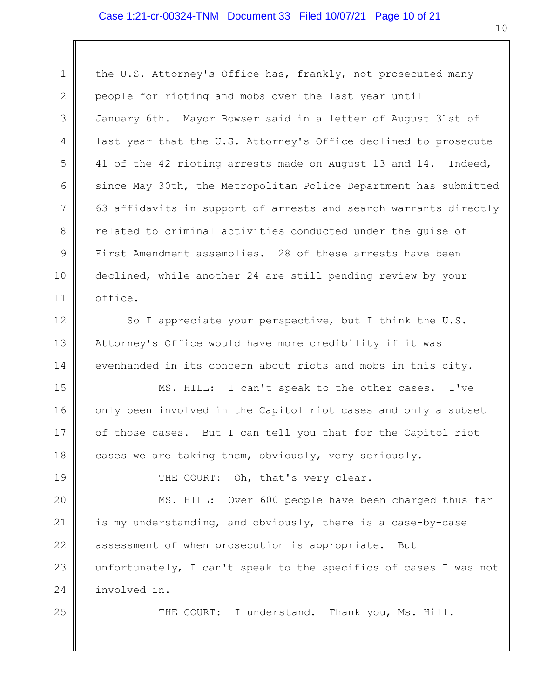## Case 1:21-cr-00324-TNM Document 33 Filed 10/07/21 Page 10 of 21

1 2 3 4 5 6 7 8 9 10 11 the U.S. Attorney's Office has, frankly, not prosecuted many people for rioting and mobs over the last year until January 6th. Mayor Bowser said in a letter of August 31st of last year that the U.S. Attorney's Office declined to prosecute 41 of the 42 rioting arrests made on August 13 and 14. Indeed, since May 30th, the Metropolitan Police Department has submitted 63 affidavits in support of arrests and search warrants directly related to criminal activities conducted under the guise of First Amendment assemblies. 28 of these arrests have been declined, while another 24 are still pending review by your office.

12 13 14 So I appreciate your perspective, but I think the U.S. Attorney's Office would have more credibility if it was evenhanded in its concern about riots and mobs in this city.

15 16 17 18 MS. HILL: I can't speak to the other cases. I've only been involved in the Capitol riot cases and only a subset of those cases. But I can tell you that for the Capitol riot cases we are taking them, obviously, very seriously.

THE COURT: Oh, that's very clear.

19

25

20 21 22 23 24 MS. HILL: Over 600 people have been charged thus far is my understanding, and obviously, there is a case-by-case assessment of when prosecution is appropriate. But unfortunately, I can't speak to the specifics of cases I was not involved in.

THE COURT: I understand. Thank you, Ms. Hill.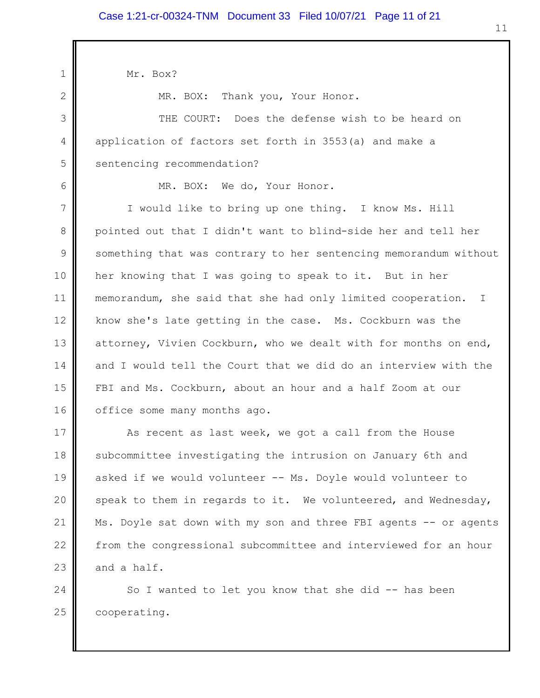1 2 3 4 5 6 7 8 9 10 11 12 13 14 15 16 17 18 19 20 21 22 Mr. Box? MR. BOX: Thank you, Your Honor. THE COURT: Does the defense wish to be heard on application of factors set forth in 3553(a) and make a sentencing recommendation? MR. BOX: We do, Your Honor. I would like to bring up one thing. I know Ms. Hill pointed out that I didn't want to blind-side her and tell her something that was contrary to her sentencing memorandum without her knowing that I was going to speak to it. But in her memorandum, she said that she had only limited cooperation. I know she's late getting in the case. Ms. Cockburn was the attorney, Vivien Cockburn, who we dealt with for months on end, and I would tell the Court that we did do an interview with the FBI and Ms. Cockburn, about an hour and a half Zoom at our office some many months ago. As recent as last week, we got a call from the House subcommittee investigating the intrusion on January 6th and asked if we would volunteer -- Ms. Doyle would volunteer to speak to them in regards to it. We volunteered, and Wednesday, Ms. Doyle sat down with my son and three FBI agents -- or agents from the congressional subcommittee and interviewed for an hour

24 25 So I wanted to let you know that she did -- has been cooperating.

23

and a half.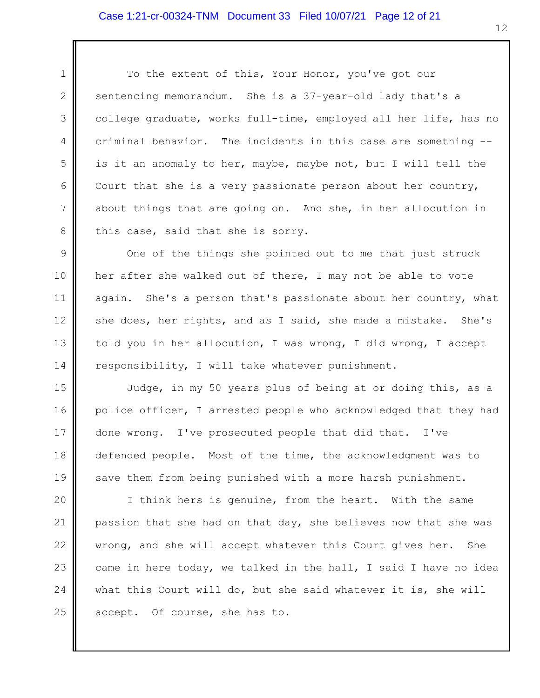2

3

4

5

6

7

8

To the extent of this, Your Honor, you've got our sentencing memorandum. She is a 37-year-old lady that's a college graduate, works full-time, employed all her life, has no criminal behavior. The incidents in this case are something - is it an anomaly to her, maybe, maybe not, but I will tell the Court that she is a very passionate person about her country, about things that are going on. And she, in her allocution in this case, said that she is sorry.

9 10 11 12 13 14 One of the things she pointed out to me that just struck her after she walked out of there, I may not be able to vote again. She's a person that's passionate about her country, what she does, her rights, and as I said, she made a mistake. She's told you in her allocution, I was wrong, I did wrong, I accept responsibility, I will take whatever punishment.

15 16 17 18 19 Judge, in my 50 years plus of being at or doing this, as a police officer, I arrested people who acknowledged that they had done wrong. I've prosecuted people that did that. I've defended people. Most of the time, the acknowledgment was to save them from being punished with a more harsh punishment.

20 21 22 23 24 25 I think hers is genuine, from the heart. With the same passion that she had on that day, she believes now that she was wrong, and she will accept whatever this Court gives her. She came in here today, we talked in the hall, I said I have no idea what this Court will do, but she said whatever it is, she will accept. Of course, she has to.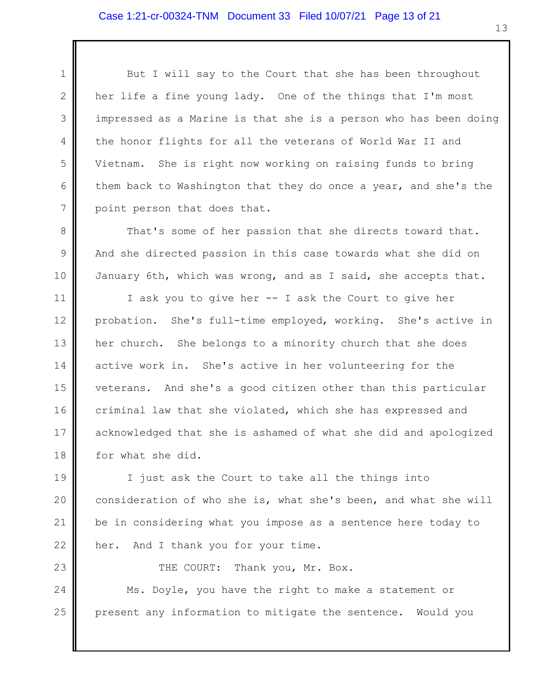2

3

4

23

5 6 7 But I will say to the Court that she has been throughout her life a fine young lady. One of the things that I'm most impressed as a Marine is that she is a person who has been doing the honor flights for all the veterans of World War II and Vietnam. She is right now working on raising funds to bring them back to Washington that they do once a year, and she's the point person that does that.

8 9 10 That's some of her passion that she directs toward that. And she directed passion in this case towards what she did on January 6th, which was wrong, and as I said, she accepts that.

11 12 13 14 15 16 17 18 I ask you to give her -- I ask the Court to give her probation. She's full-time employed, working. She's active in her church. She belongs to a minority church that she does active work in. She's active in her volunteering for the veterans. And she's a good citizen other than this particular criminal law that she violated, which she has expressed and acknowledged that she is ashamed of what she did and apologized for what she did.

19 20 21 22 I just ask the Court to take all the things into consideration of who she is, what she's been, and what she will be in considering what you impose as a sentence here today to her. And I thank you for your time.

THE COURT: Thank you, Mr. Box.

24 25 Ms. Doyle, you have the right to make a statement or present any information to mitigate the sentence. Would you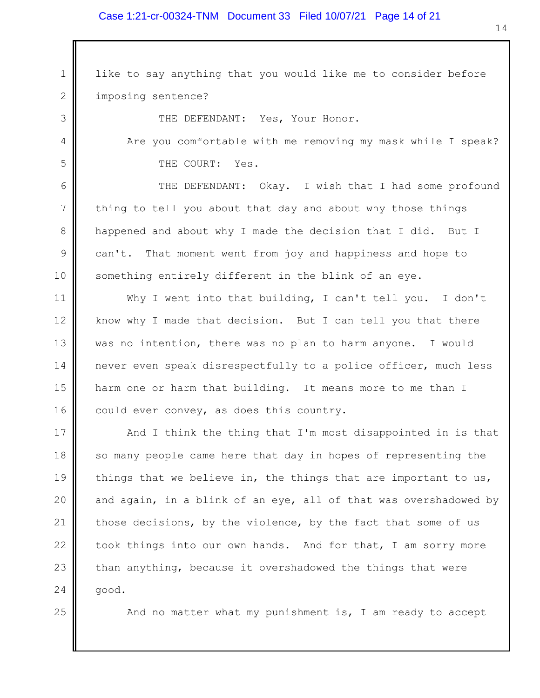## Case 1:21-cr-00324-TNM Document 33 Filed 10/07/21 Page 14 of 21

1 2 like to say anything that you would like me to consider before imposing sentence?

THE DEFENDANT: Yes, Your Honor.

3

4

5

6

7

8

9

10

25

Are you comfortable with me removing my mask while I speak? THE COURT: Yes.

THE DEFENDANT: Okay. I wish that I had some profound thing to tell you about that day and about why those things happened and about why I made the decision that I did. But I can't. That moment went from joy and happiness and hope to something entirely different in the blink of an eye.

11 12 13 14 15 16 Why I went into that building, I can't tell you. I don't know why I made that decision. But I can tell you that there was no intention, there was no plan to harm anyone. I would never even speak disrespectfully to a police officer, much less harm one or harm that building. It means more to me than I could ever convey, as does this country.

17 18 19 20 21 22 23 24 And I think the thing that I'm most disappointed in is that so many people came here that day in hopes of representing the things that we believe in, the things that are important to us, and again, in a blink of an eye, all of that was overshadowed by those decisions, by the violence, by the fact that some of us took things into our own hands. And for that, I am sorry more than anything, because it overshadowed the things that were good.

And no matter what my punishment is, I am ready to accept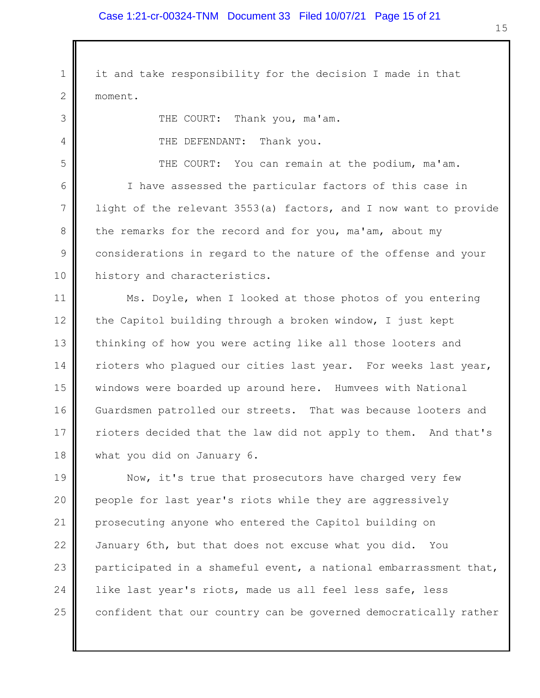1 2 it and take responsibility for the decision I made in that moment.

THE COURT: Thank you, ma'am.

THE DEFENDANT: Thank you.

3

4

5

6

7

8

9

10

THE COURT: You can remain at the podium, ma'am.

I have assessed the particular factors of this case in light of the relevant 3553(a) factors, and I now want to provide the remarks for the record and for you, ma'am, about my considerations in regard to the nature of the offense and your history and characteristics.

11 12 13 14 15 16 17 18 Ms. Doyle, when I looked at those photos of you entering the Capitol building through a broken window, I just kept thinking of how you were acting like all those looters and rioters who plagued our cities last year. For weeks last year, windows were boarded up around here. Humvees with National Guardsmen patrolled our streets. That was because looters and rioters decided that the law did not apply to them. And that's what you did on January 6.

19 20 21 22 23 24 25 Now, it's true that prosecutors have charged very few people for last year's riots while they are aggressively prosecuting anyone who entered the Capitol building on January 6th, but that does not excuse what you did. You participated in a shameful event, a national embarrassment that, like last year's riots, made us all feel less safe, less confident that our country can be governed democratically rather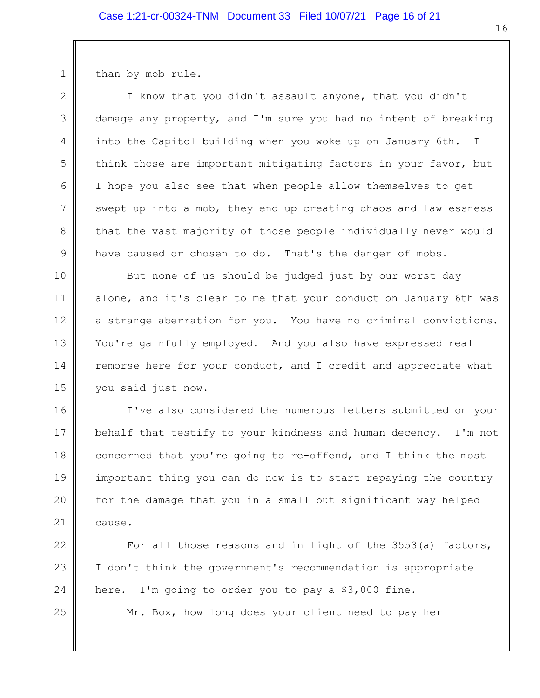than by mob rule.

1

2 3 4 5 6 7 8 9 I know that you didn't assault anyone, that you didn't damage any property, and I'm sure you had no intent of breaking into the Capitol building when you woke up on January 6th. I think those are important mitigating factors in your favor, but I hope you also see that when people allow themselves to get swept up into a mob, they end up creating chaos and lawlessness that the vast majority of those people individually never would have caused or chosen to do. That's the danger of mobs.

10 11 12 13 14 15 But none of us should be judged just by our worst day alone, and it's clear to me that your conduct on January 6th was a strange aberration for you. You have no criminal convictions. You're gainfully employed. And you also have expressed real remorse here for your conduct, and I credit and appreciate what you said just now.

16 17 18 19 20 21 I've also considered the numerous letters submitted on your behalf that testify to your kindness and human decency. I'm not concerned that you're going to re-offend, and I think the most important thing you can do now is to start repaying the country for the damage that you in a small but significant way helped cause.

22 23 24 For all those reasons and in light of the 3553(a) factors, I don't think the government's recommendation is appropriate here. I'm going to order you to pay a \$3,000 fine.

25

Mr. Box, how long does your client need to pay her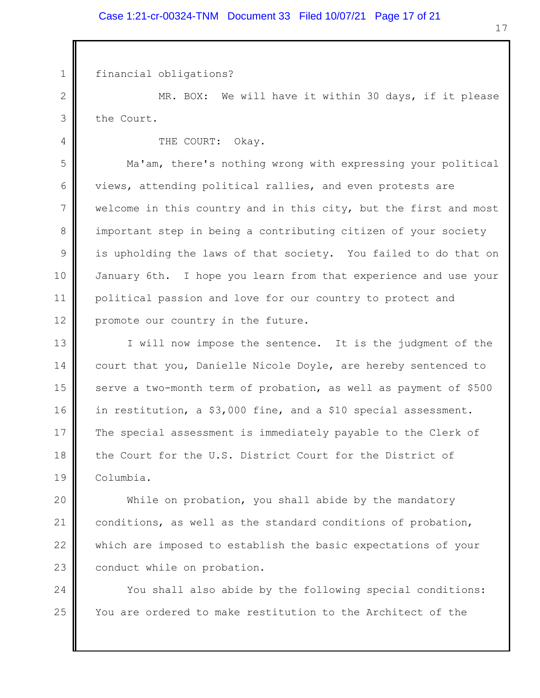financial obligations?

1

4

2 3 MR. BOX: We will have it within 30 days, if it please the Court.

THE COURT: Okay.

5 6 7 8 9 10 11 12 Ma'am, there's nothing wrong with expressing your political views, attending political rallies, and even protests are welcome in this country and in this city, but the first and most important step in being a contributing citizen of your society is upholding the laws of that society. You failed to do that on January 6th. I hope you learn from that experience and use your political passion and love for our country to protect and promote our country in the future.

13 14 15 16 17 18 19 I will now impose the sentence. It is the judgment of the court that you, Danielle Nicole Doyle, are hereby sentenced to serve a two-month term of probation, as well as payment of \$500 in restitution, a \$3,000 fine, and a \$10 special assessment. The special assessment is immediately payable to the Clerk of the Court for the U.S. District Court for the District of Columbia.

20 21 22 23 While on probation, you shall abide by the mandatory conditions, as well as the standard conditions of probation, which are imposed to establish the basic expectations of your conduct while on probation.

24 25 You shall also abide by the following special conditions: You are ordered to make restitution to the Architect of the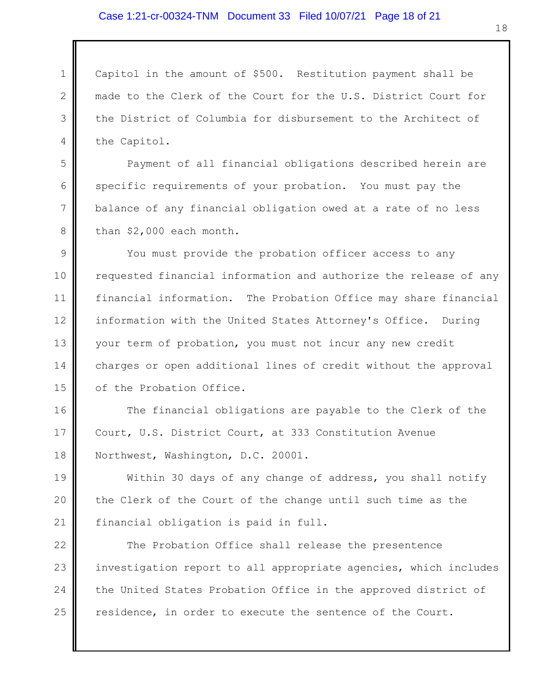## Case 1:21-cr-00324-TNM Document 33 Filed 10/07/21 Page 18 of 21

1 2 3 4 Capitol in the amount of \$500. Restitution payment shall be made to the Clerk of the Court for the U.S. District Court for the District of Columbia for disbursement to the Architect of the Capitol.

Payment of all financial obligations described herein are specific requirements of your probation. You must pay the balance of any financial obligation owed at a rate of no less than \$2,000 each month.

5

6

7

8

9 10 11 12 13 14 15 You must provide the probation officer access to any requested financial information and authorize the release of any financial information. The Probation Office may share financial information with the United States Attorney's Office. During your term of probation, you must not incur any new credit charges or open additional lines of credit without the approval of the Probation Office.

16 17 18 The financial obligations are payable to the Clerk of the Court, U.S. District Court, at 333 Constitution Avenue Northwest, Washington, D.C. 20001.

19 20 21 Within 30 days of any change of address, you shall notify the Clerk of the Court of the change until such time as the financial obligation is paid in full.

22 23 24 25 The Probation Office shall release the presentence investigation report to all appropriate agencies, which includes the United States Probation Office in the approved district of residence, in order to execute the sentence of the Court.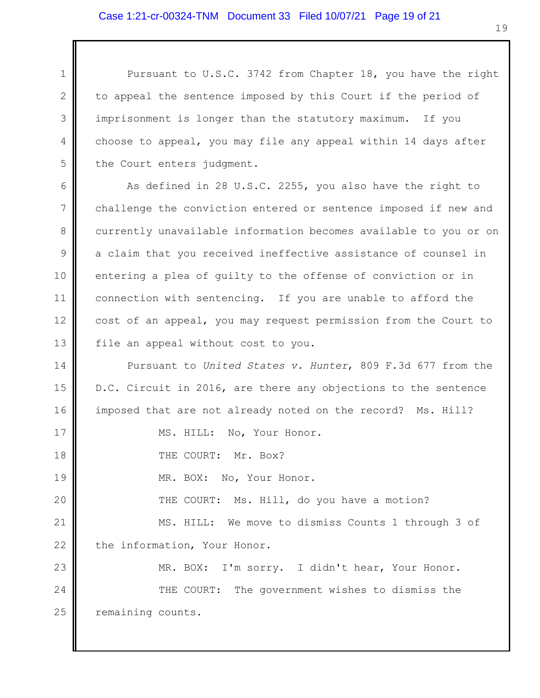2

3

4

5

17

18

19

20

Pursuant to U.S.C. 3742 from Chapter 18, you have the right to appeal the sentence imposed by this Court if the period of imprisonment is longer than the statutory maximum. If you choose to appeal, you may file any appeal within 14 days after the Court enters judgment.

6 7 8 9 10 11 12 13 As defined in 28 U.S.C. 2255, you also have the right to challenge the conviction entered or sentence imposed if new and currently unavailable information becomes available to you or on a claim that you received ineffective assistance of counsel in entering a plea of guilty to the offense of conviction or in connection with sentencing. If you are unable to afford the cost of an appeal, you may request permission from the Court to file an appeal without cost to you.

14 15 16 Pursuant to *United States v. Hunter*, 809 F.3d 677 from the D.C. Circuit in 2016, are there any objections to the sentence imposed that are not already noted on the record? Ms. Hill?

MS. HILL: No, Your Honor.

THE COURT: Mr. Box?

MR. BOX: No, Your Honor.

THE COURT: Ms. Hill, do you have a motion?

21 22 MS. HILL: We move to dismiss Counts 1 through 3 of the information, Your Honor.

23 24 25 MR. BOX: I'm sorry. I didn't hear, Your Honor. THE COURT: The government wishes to dismiss the remaining counts.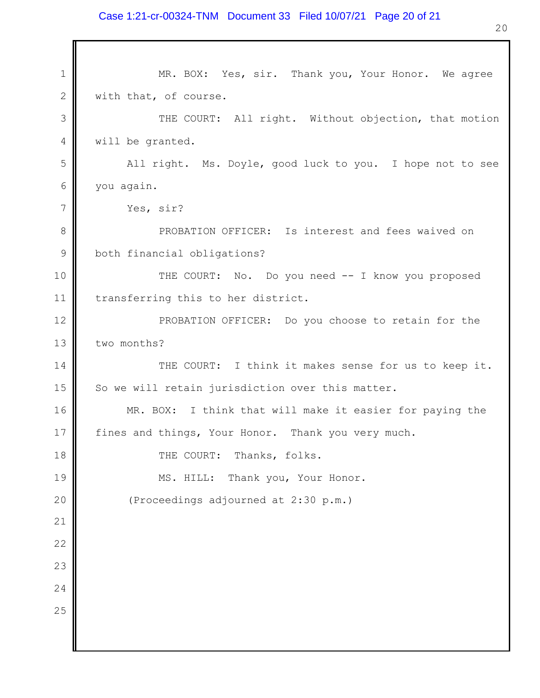### Case 1:21-cr-00324-TNM Document 33 Filed 10/07/21 Page 20 of 21

1 2 3 4 5 6 7 8 9 10 11 12 13 14 15 16 17 18 19 20 21 22 23 24 25 MR. BOX: Yes, sir. Thank you, Your Honor. We agree with that, of course. THE COURT: All right. Without objection, that motion will be granted. All right. Ms. Doyle, good luck to you. I hope not to see you again. Yes, sir? PROBATION OFFICER: Is interest and fees waived on both financial obligations? THE COURT: No. Do you need -- I know you proposed transferring this to her district. PROBATION OFFICER: Do you choose to retain for the two months? THE COURT: I think it makes sense for us to keep it. So we will retain jurisdiction over this matter. MR. BOX: I think that will make it easier for paying the fines and things, Your Honor. Thank you very much. THE COURT: Thanks, folks. MS. HILL: Thank you, Your Honor. (Proceedings adjourned at 2:30 p.m.)

20